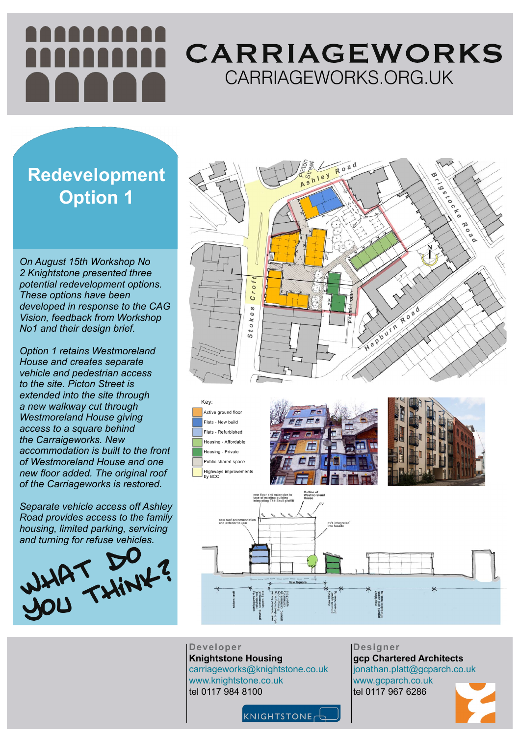**Designer gcp Chartered Architects** jonathan.platt@gcparch.co.uk www.gcparch.co.uk tel 0117 967 6286



## CARRIAGEWORKS CARRIAGEWORKS.ORG.UK

**Developer Knightstone Housing** carriageworks@knightstone.co.uk www.knightstone.co.uk tel 0117 984 8100

KNIGHTSTONE



*On August 15th Workshop No 2 Knightstone presented three potential redevelopment options. These options have been developed in response to the CAG Vision, feedback from Workshop No1 and their design brief.*

*Option 1 retains Westmoreland House and creates separate vehicle and pedestrian access to the site. Picton Street is extended into the site through a new walkway cut through Westmoreland House giving access to a square behind the Carraigeworks. New accommodation is built to the front of Westmoreland House and one new floor added. The original roof of the Carriageworks is restored.*

*Separate vehicle access off Ashley Road provides access to the family housing, limited parking, servicing and turning for refuse vehicles.*

Key: Active ground floor Flats - New build Flats - Refurbished Housing - Affordable Housing - Private Public shared space Highways improvements by BCC









### **Redevelopment Option 1**